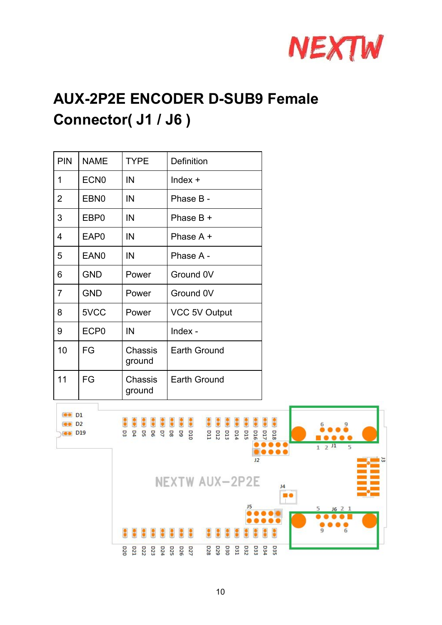

## **AUX-2P2E ENCODER D-SUB9 Female Connector( J1 / J6 )**

| PIN            | <b>NAME</b>      | <b>TYPE</b>       | Definition           |
|----------------|------------------|-------------------|----------------------|
| 1              | ECN <sub>0</sub> | IN                | $Index +$            |
| 2              | EBN <sub>0</sub> | IN                | Phase B -            |
| 3              | EBP <sub>0</sub> | IN                | Phase $B +$          |
| 4              | EAP <sub>0</sub> | IN                | Phase A +            |
| 5              | EAN <sub>0</sub> | IN                | Phase A -            |
| 6              | <b>GND</b>       | Power             | Ground 0V            |
| $\overline{7}$ | <b>GND</b>       | Power             | Ground 0V            |
| 8              | 5VCC             | Power             | <b>VCC 5V Output</b> |
| 9              | ECP <sub>0</sub> | IN                | Index -              |
| 10             | FG               | Chassis<br>ground | <b>Earth Ground</b>  |
| 11             | FG               | Chassis<br>ground | <b>Earth Ground</b>  |

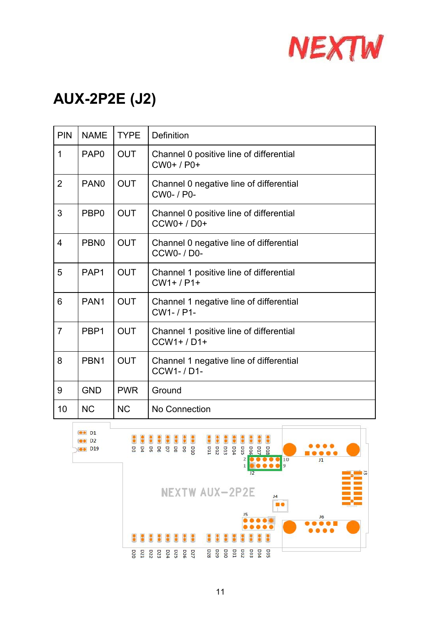

## **AUX-2P2E (J2)**

| <b>PIN</b>     | <b>NAME</b>      | <b>TYPE</b> | Definition                                                  |  |
|----------------|------------------|-------------|-------------------------------------------------------------|--|
| 1              | PAP <sub>0</sub> | <b>OUT</b>  | Channel 0 positive line of differential<br>$CWO+ / PO+$     |  |
| $\overline{2}$ | PAN <sub>0</sub> | <b>OUT</b>  | Channel 0 negative line of differential<br>CW0- / P0-       |  |
| 3              | PBP <sub>0</sub> | <b>OUT</b>  | Channel 0 positive line of differential<br>CCW0+/D0+        |  |
| $\overline{4}$ | PBN <sub>0</sub> | <b>OUT</b>  | Channel 0 negative line of differential<br><b>CCW0-/D0-</b> |  |
| 5              | PAP <sub>1</sub> | <b>OUT</b>  | Channel 1 positive line of differential<br>$CW1+ / P1+$     |  |
| 6              | PAN <sub>1</sub> | <b>OUT</b>  | Channel 1 negative line of differential<br>CW1-/P1-         |  |
| $\overline{7}$ | PBP <sub>1</sub> | <b>OUT</b>  | Channel 1 positive line of differential<br>$CCW1+ / D1+$    |  |
| 8              | PBN <sub>1</sub> | <b>OUT</b>  | Channel 1 negative line of differential<br><b>CCW1-/D1-</b> |  |
| 9              | <b>GND</b>       | <b>PWR</b>  | Ground                                                      |  |
| 10             | <b>NC</b>        | <b>NC</b>   | No Connection                                               |  |

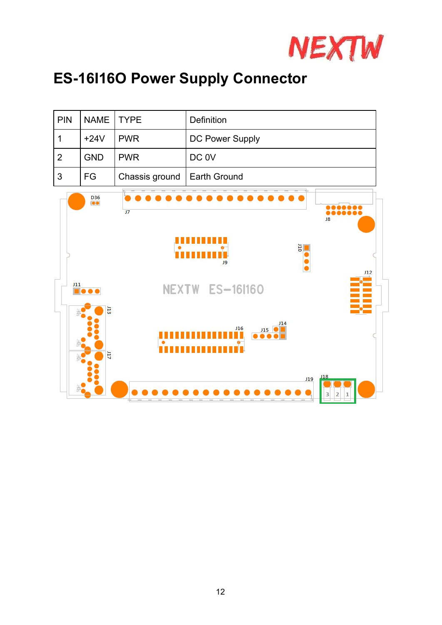

## **ES-16I16O Power Supply Connector**

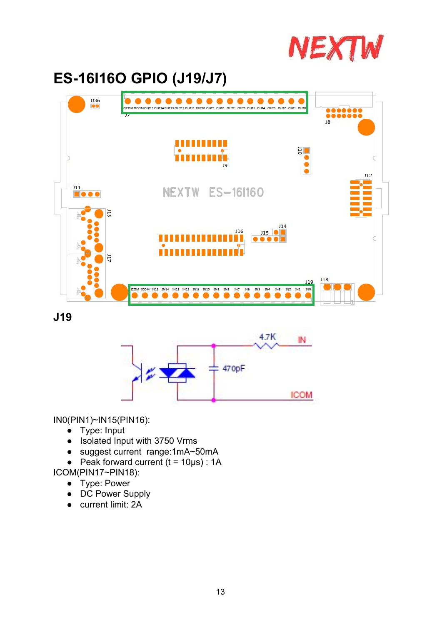

## **ES-16I16O GPIO (J19/J7)**



**J19**



IN0(PIN1)~IN15(PIN16):

- Type: Input
- Isolated Input with 3750 Vrms
- suggest current range:1mA~50mA
- $\bullet$  Peak forward current (t = 10µs) : 1A

ICOM(PIN17~PIN18):

- Type: Power
- DC Power Supply
- current limit: 2A